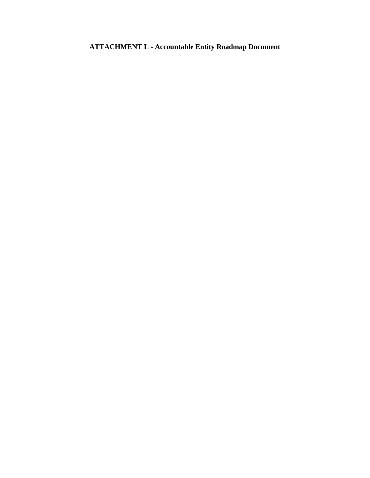# **ATTACHMENT L - Accountable Entity Roadmap Document**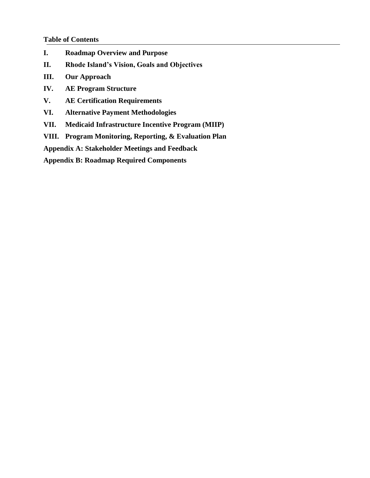#### **Table of Contents**

- **I. Roadmap Overview and Purpose**
- **II. Rhode Island's Vision, Goals and Objectives**
- **III. Our Approach**
- **IV. AE Program Structure**
- **V. AE Certification Requirements**
- **VI. Alternative Payment Methodologies**
- **VII. Medicaid Infrastructure Incentive Program (MIIP)**
- **VIII. Program Monitoring, Reporting, & Evaluation Plan**

**Appendix A: Stakeholder Meetings and Feedback**

**Appendix B: Roadmap Required Components**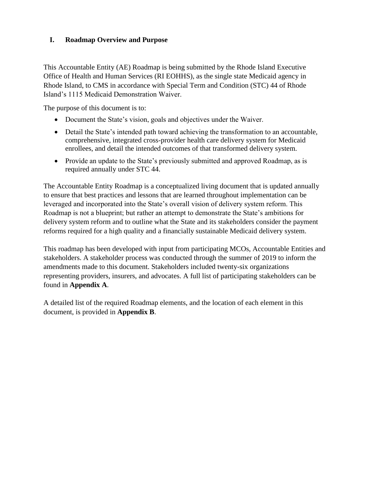## **I. Roadmap Overview and Purpose**

This Accountable Entity (AE) Roadmap is being submitted by the Rhode Island Executive Office of Health and Human Services (RI EOHHS), as the single state Medicaid agency in Rhode Island, to CMS in accordance with Special Term and Condition (STC) 44 of Rhode Island's 1115 Medicaid Demonstration Waiver.

The purpose of this document is to:

- Document the State's vision, goals and objectives under the Waiver.
- Detail the State's intended path toward achieving the transformation to an accountable, comprehensive, integrated cross-provider health care delivery system for Medicaid enrollees, and detail the intended outcomes of that transformed delivery system.
- Provide an update to the State's previously submitted and approved Roadmap, as is required annually under STC 44.

The Accountable Entity Roadmap is a conceptualized living document that is updated annually to ensure that best practices and lessons that are learned throughout implementation can be leveraged and incorporated into the State's overall vision of delivery system reform. This Roadmap is not a blueprint; but rather an attempt to demonstrate the State's ambitions for delivery system reform and to outline what the State and its stakeholders consider the payment reforms required for a high quality and a financially sustainable Medicaid delivery system.

This roadmap has been developed with input from participating MCOs, Accountable Entities and stakeholders. A stakeholder process was conducted through the summer of 2019 to inform the amendments made to this document. Stakeholders included twenty-six organizations representing providers, insurers, and advocates. A full list of participating stakeholders can be found in **Appendix A**.

A detailed list of the required Roadmap elements, and the location of each element in this document, is provided in **Appendix B**.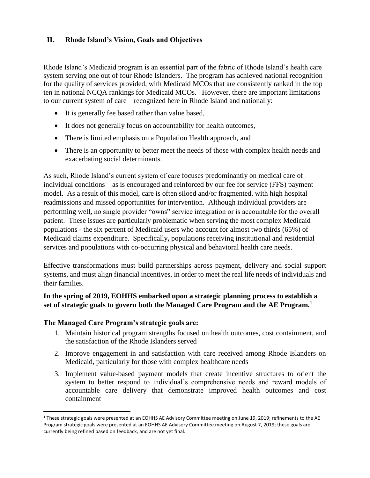### **II. Rhode Island's Vision, Goals and Objectives**

Rhode Island's Medicaid program is an essential part of the fabric of Rhode Island's health care system serving one out of four Rhode Islanders. The program has achieved national recognition for the quality of services provided, with Medicaid MCOs that are consistently ranked in the top ten in national NCQA rankings for Medicaid MCOs. However, there are important limitations to our current system of care – recognized here in Rhode Island and nationally:

- It is generally fee based rather than value based,
- It does not generally focus on accountability for health outcomes,
- There is limited emphasis on a Population Health approach, and
- There is an opportunity to better meet the needs of those with complex health needs and exacerbating social determinants.

As such, Rhode Island's current system of care focuses predominantly on medical care of individual conditions – as is encouraged and reinforced by our fee for service (FFS) payment model. As a result of this model, care is often siloed and/or fragmented, with high hospital readmissions and missed opportunities for intervention. Although individual providers are performing well**,** no single provider "owns" service integration or is accountable for the overall patient. These issues are particularly problematic when serving the most complex Medicaid populations - the six percent of Medicaid users who account for almost two thirds (65%) of Medicaid claims expenditure. Specifically**,** populations receiving institutional and residential services and populations with co-occurring physical and behavioral health care needs.

Effective transformations must build partnerships across payment, delivery and social support systems, and must align financial incentives, in order to meet the real life needs of individuals and their families.

### **In the spring of 2019, EOHHS embarked upon a strategic planning process to establish a set of strategic goals to govern both the Managed Care Program and the AE Program.**<sup>1</sup>

#### **The Managed Care Program's strategic goals are:**

 $\overline{\phantom{a}}$ 

- 1. Maintain historical program strengths focused on health outcomes, cost containment, and the satisfaction of the Rhode Islanders served
- 2. Improve engagement in and satisfaction with care received among Rhode Islanders on Medicaid, particularly for those with complex healthcare needs
- 3. Implement value-based payment models that create incentive structures to orient the system to better respond to individual's comprehensive needs and reward models of accountable care delivery that demonstrate improved health outcomes and cost containment

<sup>1</sup> These strategic goals were presented at an EOHHS AE Advisory Committee meeting on June 19, 2019; refinements to the AE Program strategic goals were presented at an EOHHS AE Advisory Committee meeting on August 7, 2019; these goals are currently being refined based on feedback, and are not yet final.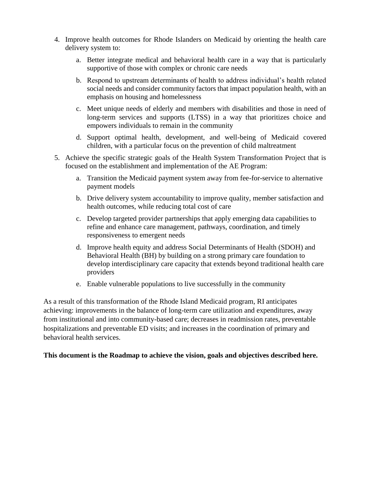- 4. Improve health outcomes for Rhode Islanders on Medicaid by orienting the health care delivery system to:
	- a. Better integrate medical and behavioral health care in a way that is particularly supportive of those with complex or chronic care needs
	- b. Respond to upstream determinants of health to address individual's health related social needs and consider community factors that impact population health, with an emphasis on housing and homelessness
	- c. Meet unique needs of elderly and members with disabilities and those in need of long-term services and supports (LTSS) in a way that prioritizes choice and empowers individuals to remain in the community
	- d. Support optimal health, development, and well-being of Medicaid covered children, with a particular focus on the prevention of child maltreatment
- 5. Achieve the specific strategic goals of the Health System Transformation Project that is focused on the establishment and implementation of the AE Program:
	- a. Transition the Medicaid payment system away from fee-for-service to alternative payment models
	- b. Drive delivery system accountability to improve quality, member satisfaction and health outcomes, while reducing total cost of care
	- c. Develop targeted provider partnerships that apply emerging data capabilities to refine and enhance care management, pathways, coordination, and timely responsiveness to emergent needs
	- d. Improve health equity and address Social Determinants of Health (SDOH) and Behavioral Health (BH) by building on a strong primary care foundation to develop interdisciplinary care capacity that extends beyond traditional health care providers
	- e. Enable vulnerable populations to live successfully in the community

As a result of this transformation of the Rhode Island Medicaid program, RI anticipates achieving: improvements in the balance of long-term care utilization and expenditures, away from institutional and into community-based care; decreases in readmission rates, preventable hospitalizations and preventable ED visits; and increases in the coordination of primary and behavioral health services.

#### **This document is the Roadmap to achieve the vision, goals and objectives described here.**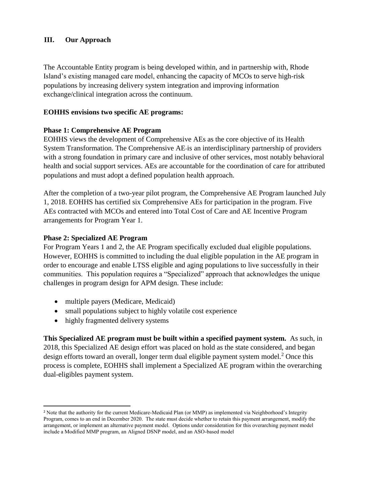### **III. Our Approach**

The Accountable Entity program is being developed within, and in partnership with, Rhode Island's existing managed care model, enhancing the capacity of MCOs to serve high-risk populations by increasing delivery system integration and improving information exchange/clinical integration across the continuum.

### **EOHHS envisions two specific AE programs:**

#### **Phase 1: Comprehensive AE Program**

EOHHS views the development of Comprehensive AEs as the core objective of its Health System Transformation. The Comprehensive AE is an interdisciplinary partnership of providers with a strong foundation in primary care and inclusive of other services, most notably behavioral health and social support services. AEs are accountable for the coordination of care for attributed populations and must adopt a defined population health approach.

After the completion of a two-year pilot program, the Comprehensive AE Program launched July 1, 2018. EOHHS has certified six Comprehensive AEs for participation in the program. Five AEs contracted with MCOs and entered into Total Cost of Care and AE Incentive Program arrangements for Program Year 1.

#### **Phase 2: Specialized AE Program**

For Program Years 1 and 2, the AE Program specifically excluded dual eligible populations. However, EOHHS is committed to including the dual eligible population in the AE program in order to encourage and enable LTSS eligible and aging populations to live successfully in their communities. This population requires a "Specialized" approach that acknowledges the unique challenges in program design for APM design. These include:

- multiple payers (Medicare, Medicaid)
- small populations subject to highly volatile cost experience
- highly fragmented delivery systems

 $\overline{\phantom{a}}$ 

**This Specialized AE program must be built within a specified payment system.** As such, in 2018, this Specialized AE design effort was placed on hold as the state considered, and began design efforts toward an overall, longer term dual eligible payment system model.<sup>2</sup> Once this process is complete, EOHHS shall implement a Specialized AE program within the overarching dual-eligibles payment system.

<sup>&</sup>lt;sup>2</sup> Note that the authority for the current Medicare-Medicaid Plan (or MMP) as implemented via Neighborhood's Integrity Program, comes to an end in December 2020. The state must decide whether to retain this payment arrangement, modify the arrangement, or implement an alternative payment model. Options under consideration for this overarching payment model include a Modified MMP program, an Aligned DSNP model, and an ASO-based model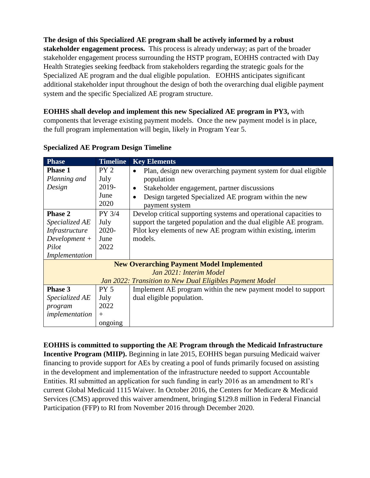**The design of this Specialized AE program shall be actively informed by a robust stakeholder engagement process.** This process is already underway; as part of the broader stakeholder engagement process surrounding the HSTP program, EOHHS contracted with Day Health Strategies seeking feedback from stakeholders regarding the strategic goals for the Specialized AE program and the dual eligible population. EOHHS anticipates significant additional stakeholder input throughout the design of both the overarching dual eligible payment system and the specific Specialized AE program structure.

## **EOHHS shall develop and implement this new Specialized AE program in PY3,** with

components that leverage existing payment models. Once the new payment model is in place, the full program implementation will begin, likely in Program Year 5.

| <b>Phase</b>    | <b>Timeline</b> | <b>Key Elements</b>                                                        |  |  |  |
|-----------------|-----------------|----------------------------------------------------------------------------|--|--|--|
| <b>Phase 1</b>  | PY <sub>2</sub> | Plan, design new overarching payment system for dual eligible<br>$\bullet$ |  |  |  |
| Planning and    | July            | population                                                                 |  |  |  |
| Design          | 2019-           | Stakeholder engagement, partner discussions<br>$\bullet$                   |  |  |  |
|                 | June            | Design targeted Specialized AE program within the new<br>$\bullet$         |  |  |  |
|                 | 2020            | payment system                                                             |  |  |  |
| <b>Phase 2</b>  | PY 3/4          | Develop critical supporting systems and operational capacities to          |  |  |  |
| Specialized AE  | July            | support the targeted population and the dual eligible AE program.          |  |  |  |
| Infrastructure  | 2020-           | Pilot key elements of new AE program within existing, interim              |  |  |  |
| $Development +$ | June            | models.                                                                    |  |  |  |
| Pilot           | 2022            |                                                                            |  |  |  |
| Implementation  |                 |                                                                            |  |  |  |
|                 |                 | <b>New Overarching Payment Model Implemented</b>                           |  |  |  |
|                 |                 | Jan 2021: Interim Model                                                    |  |  |  |
|                 |                 | Jan 2022: Transition to New Dual Eligibles Payment Model                   |  |  |  |
| Phase 3         | PY <sub>5</sub> | Implement AE program within the new payment model to support               |  |  |  |
| Specialized AE  | July            | dual eligible population.                                                  |  |  |  |
| program         | 2022            |                                                                            |  |  |  |
| implementation  | $^{+}$          |                                                                            |  |  |  |
|                 | ongoing         |                                                                            |  |  |  |

**Specialized AE Program Design Timeline**

**EOHHS is committed to supporting the AE Program through the Medicaid Infrastructure Incentive Program (MIIP).** Beginning in late 2015, EOHHS began pursuing Medicaid waiver financing to provide support for AEs by creating a pool of funds primarily focused on assisting in the development and implementation of the infrastructure needed to support Accountable Entities. RI submitted an application for such funding in early 2016 as an amendment to RI's current Global Medicaid 1115 Waiver. In October 2016, the Centers for Medicare & Medicaid Services (CMS) approved this waiver amendment, bringing \$129.8 million in Federal Financial Participation (FFP) to RI from November 2016 through December 2020.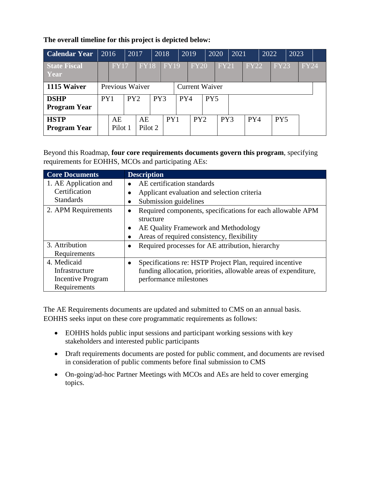**The overall timeline for this project is depicted below:**

| <b>Calendar Year</b>               | 2016                                     |               | 2017 |               | 2018 |             |     | 2019        | 2020            |             | 2021 |             | 2022 |                 | 2023 |             |  |
|------------------------------------|------------------------------------------|---------------|------|---------------|------|-------------|-----|-------------|-----------------|-------------|------|-------------|------|-----------------|------|-------------|--|
| <b>State Fiscal</b><br><b>Year</b> |                                          | <b>FY17</b>   |      | <b>FY18</b>   |      | <b>FY19</b> |     | <b>FY20</b> |                 | <b>FY21</b> |      | <b>FY22</b> |      | <b>FY23</b>     |      | <b>FY24</b> |  |
| 1115 Waiver                        | Previous Waiver<br><b>Current Waiver</b> |               |      |               |      |             |     |             |                 |             |      |             |      |                 |      |             |  |
| <b>DSHP</b><br><b>Program Year</b> | PY <sub>1</sub>                          |               | PY2  |               | PY3  |             | PY4 |             | PY <sub>5</sub> |             |      |             |      |                 |      |             |  |
| <b>HSTP</b><br><b>Program Year</b> |                                          | AE<br>Pilot 1 |      | AE<br>Pilot 2 |      | PY1         |     | PY2         |                 | PY3         |      | PY4         |      | PY <sub>5</sub> |      |             |  |

Beyond this Roadmap, **four core requirements documents govern this program**, specifying requirements for EOHHS, MCOs and participating AEs:

| <b>Core Documents</b> | <b>Description</b>                                              |
|-----------------------|-----------------------------------------------------------------|
| 1. AE Application and | AE certification standards                                      |
| Certification         | Applicant evaluation and selection criteria                     |
| <b>Standards</b>      | Submission guidelines                                           |
| 2. APM Requirements   | Required components, specifications for each allowable APM      |
|                       | structure                                                       |
|                       | AE Quality Framework and Methodology                            |
|                       | Areas of required consistency, flexibility                      |
| 3. Attribution        | Required processes for AE attribution, hierarchy                |
| Requirements          |                                                                 |
| 4. Medicaid           | Specifications re: HSTP Project Plan, required incentive<br>٠   |
| Infrastructure        | funding allocation, priorities, allowable areas of expenditure, |
| Incentive Program     | performance milestones                                          |
| Requirements          |                                                                 |

The AE Requirements documents are updated and submitted to CMS on an annual basis. EOHHS seeks input on these core programmatic requirements as follows:

- EOHHS holds public input sessions and participant working sessions with key stakeholders and interested public participants
- Draft requirements documents are posted for public comment, and documents are revised in consideration of public comments before final submission to CMS
- On-going/ad-hoc Partner Meetings with MCOs and AEs are held to cover emerging topics.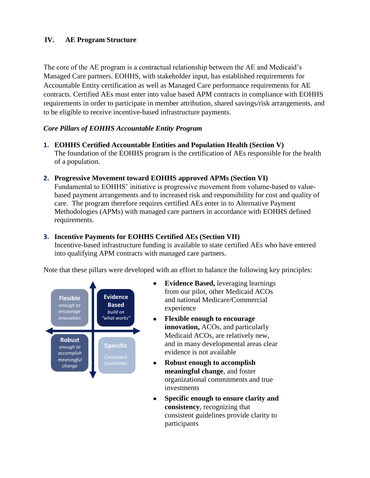## **IV. AE Program Structure**

The core of the AE program is a contractual relationship between the AE and Medicaid's Managed Care partners. EOHHS, with stakeholder input, has established requirements for Accountable Entity certification as well as Managed Care performance requirements for AE contracts. Certified AEs must enter into value based APM contracts in compliance with EOHHS requirements in order to participate in member attribution, shared savings/risk arrangements, and to be eligible to receive incentive-based infrastructure payments.

### *Core Pillars of EOHHS Accountable Entity Program*

- **1. EOHHS Certified Accountable Entities and Population Health (Section V)** The foundation of the EOHHS program is the certification of AEs responsible for the health of a population.
- **2. Progressive Movement toward EOHHS approved APMs (Section VI)**

Fundamental to EOHHS' initiative is progressive movement from volume-based to valuebased payment arrangements and to increased risk and responsibility for cost and quality of care. The program therefore requires certified AEs enter in to Alternative Payment Methodologies (APMs) with managed care partners in accordance with EOHHS defined requirements.

#### **3. Incentive Payments for EOHHS Certified AEs (Section VII)**

Incentive-based infrastructure funding is available to state certified AEs who have entered into qualifying APM contracts with managed care partners.

Note that these pillars were developed with an effort to balance the following key principles:



- **Evidence Based,** leveraging learnings from our pilot, other Medicaid ACOs and national Medicare/Commercial experience
- **Flexible enough to encourage innovation,** ACOs, and particularly Medicaid ACOs, are relatively new, and in many developmental areas clear evidence is not available
- **Robust enough to accomplish meaningful change**, and foster organizational commitments and true investments
- **Specific enough to ensure clarity and consistency**, recognizing that consistent guidelines provide clarity to participants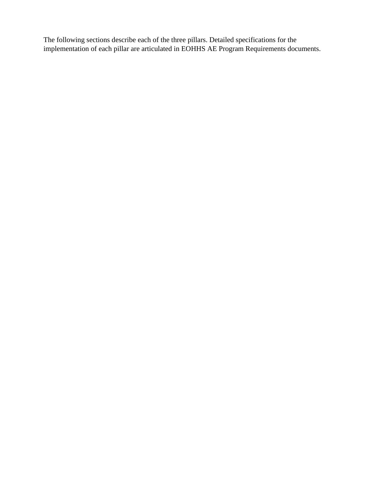The following sections describe each of the three pillars. Detailed specifications for the implementation of each pillar are articulated in EOHHS AE Program Requirements documents.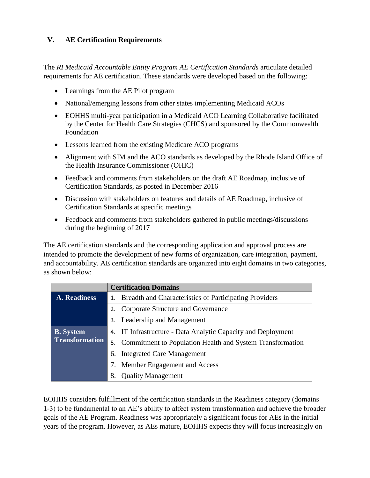## **V. AE Certification Requirements**

The *RI Medicaid Accountable Entity Program AE Certification Standards* articulate detailed requirements for AE certification. These standards were developed based on the following:

- Learnings from the AE Pilot program
- National/emerging lessons from other states implementing Medicaid ACOs
- EOHHS multi-year participation in a Medicaid ACO Learning Collaborative facilitated by the Center for Health Care Strategies (CHCS) and sponsored by the Commonwealth Foundation
- Lessons learned from the existing Medicare ACO programs
- Alignment with SIM and the ACO standards as developed by the Rhode Island Office of the Health Insurance Commissioner (OHIC)
- Feedback and comments from stakeholders on the draft AE Roadmap, inclusive of Certification Standards, as posted in December 2016
- Discussion with stakeholders on features and details of AE Roadmap, inclusive of Certification Standards at specific meetings
- Feedback and comments from stakeholders gathered in public meetings/discussions during the beginning of 2017

The AE certification standards and the corresponding application and approval process are intended to promote the development of new forms of organization, care integration, payment, and accountability. AE certification standards are organized into eight domains in two categories, as shown below:

|                       | <b>Certification Domains</b>                                 |  |  |  |  |  |
|-----------------------|--------------------------------------------------------------|--|--|--|--|--|
| A. Readiness          | 1. Breadth and Characteristics of Participating Providers    |  |  |  |  |  |
|                       | Corporate Structure and Governance                           |  |  |  |  |  |
|                       | 3. Leadership and Management                                 |  |  |  |  |  |
| <b>B.</b> System      | 4. IT Infrastructure - Data Analytic Capacity and Deployment |  |  |  |  |  |
| <b>Transformation</b> | 5. Commitment to Population Health and System Transformation |  |  |  |  |  |
|                       | 6. Integrated Care Management                                |  |  |  |  |  |
|                       | 7. Member Engagement and Access                              |  |  |  |  |  |
|                       | <b>Quality Management</b><br>8.                              |  |  |  |  |  |

EOHHS considers fulfillment of the certification standards in the Readiness category (domains 1-3) to be fundamental to an AE's ability to affect system transformation and achieve the broader goals of the AE Program. Readiness was appropriately a significant focus for AEs in the initial years of the program. However, as AEs mature, EOHHS expects they will focus increasingly on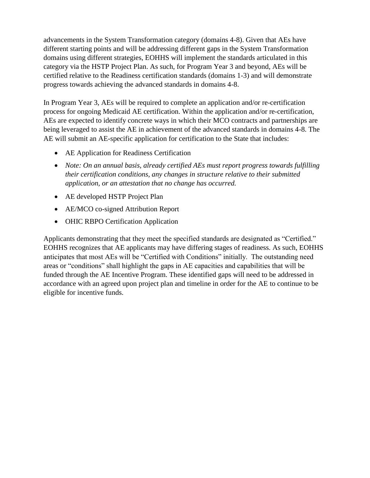advancements in the System Transformation category (domains 4-8). Given that AEs have different starting points and will be addressing different gaps in the System Transformation domains using different strategies, EOHHS will implement the standards articulated in this category via the HSTP Project Plan. As such, for Program Year 3 and beyond, AEs will be certified relative to the Readiness certification standards (domains 1-3) and will demonstrate progress towards achieving the advanced standards in domains 4-8.

In Program Year 3, AEs will be required to complete an application and/or re-certification process for ongoing Medicaid AE certification. Within the application and/or re-certification, AEs are expected to identify concrete ways in which their MCO contracts and partnerships are being leveraged to assist the AE in achievement of the advanced standards in domains 4-8. The AE will submit an AE-specific application for certification to the State that includes:

- AE Application for Readiness Certification
- *Note: On an annual basis, already certified AEs must report progress towards fulfilling their certification conditions, any changes in structure relative to their submitted application, or an attestation that no change has occurred.*
- AE developed HSTP Project Plan
- AE/MCO co-signed Attribution Report
- OHIC RBPO Certification Application

Applicants demonstrating that they meet the specified standards are designated as "Certified." EOHHS recognizes that AE applicants may have differing stages of readiness. As such, EOHHS anticipates that most AEs will be "Certified with Conditions" initially. The outstanding need areas or "conditions" shall highlight the gaps in AE capacities and capabilities that will be funded through the AE Incentive Program. These identified gaps will need to be addressed in accordance with an agreed upon project plan and timeline in order for the AE to continue to be eligible for incentive funds.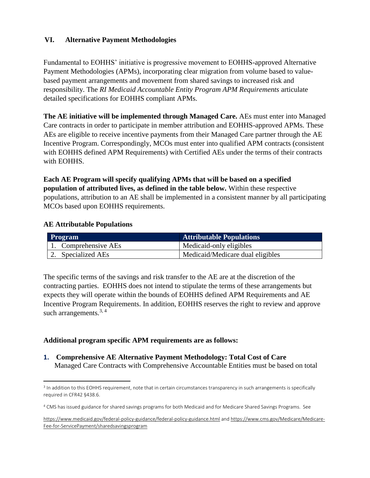## **VI. Alternative Payment Methodologies**

Fundamental to EOHHS' initiative is progressive movement to EOHHS-approved Alternative Payment Methodologies (APMs), incorporating clear migration from volume based to valuebased payment arrangements and movement from shared savings to increased risk and responsibility. The *RI Medicaid Accountable Entity Program APM Requirements* articulate detailed specifications for EOHHS compliant APMs.

**The AE initiative will be implemented through Managed Care.** AEs must enter into Managed Care contracts in order to participate in member attribution and EOHHS-approved APMs. These AEs are eligible to receive incentive payments from their Managed Care partner through the AE Incentive Program. Correspondingly, MCOs must enter into qualified APM contracts (consistent with EOHHS defined APM Requirements) with Certified AEs under the terms of their contracts with EOHHS.

### **Each AE Program will specify qualifying APMs that will be based on a specified population of attributed lives, as defined in the table below.** Within these respective populations, attribution to an AE shall be implemented in a consistent manner by all participating MCOs based upon EOHHS requirements.

#### **AE Attributable Populations**

 $\overline{\phantom{a}}$ 

| <b>Program</b>               | <b>Attributable Populations</b>  |
|------------------------------|----------------------------------|
| $\vert$ 1. Comprehensive AEs | Medicaid-only eligibles          |
| 2. Specialized AEs           | Medicaid/Medicare dual eligibles |

The specific terms of the savings and risk transfer to the AE are at the discretion of the contracting parties. EOHHS does not intend to stipulate the terms of these arrangements but expects they will operate within the bounds of EOHHS defined APM Requirements and AE Incentive Program Requirements. In addition, EOHHS reserves the right to review and approve such arrangements. $3, 4$ 

#### **Additional program specific APM requirements are as follows:**

**1. Comprehensive AE Alternative Payment Methodology: Total Cost of Care** Managed Care Contracts with Comprehensive Accountable Entities must be based on total

<sup>&</sup>lt;sup>3</sup> In addition to this EOHHS requirement, note that in certain circumstances transparency in such arrangements is specifically required in CFR42 §438.6.

<sup>4</sup> CMS has issued guidance for shared savings programs for both Medicaid and for Medicare Shared Savings Programs. See

<https://www.medicaid.gov/federal-policy-guidance/federal-policy-guidance.html> and [https://www.cms.gov/Medicare/Medicare-](https://www.cms.gov/Medicare/Medicare-Fee-for-ServicePayment/sharedsavingsprogram)[Fee-for-ServicePayment/sharedsavingsprogram](https://www.cms.gov/Medicare/Medicare-Fee-for-ServicePayment/sharedsavingsprogram)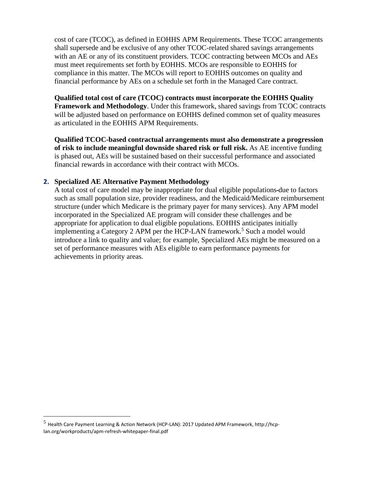cost of care (TCOC), as defined in EOHHS APM Requirements. These TCOC arrangements shall supersede and be exclusive of any other TCOC-related shared savings arrangements with an AE or any of its constituent providers. TCOC contracting between MCOs and AEs must meet requirements set forth by EOHHS. MCOs are responsible to EOHHS for compliance in this matter. The MCOs will report to EOHHS outcomes on quality and financial performance by AEs on a schedule set forth in the Managed Care contract.

#### **Qualified total cost of care (TCOC) contracts must incorporate the EOHHS Quality**

**Framework and Methodology**. Under this framework, shared savings from TCOC contracts will be adjusted based on performance on EOHHS defined common set of quality measures as articulated in the EOHHS APM Requirements.

**Qualified TCOC-based contractual arrangements must also demonstrate a progression of risk to include meaningful downside shared risk or full risk.** As AE incentive funding is phased out, AEs will be sustained based on their successful performance and associated financial rewards in accordance with their contract with MCOs.

#### **2. Specialized AE Alternative Payment Methodology**

A total cost of care model may be inappropriate for dual eligible populations due to factors such as small population size, provider readiness, and the Medicaid/Medicare reimbursement structure (under which Medicare is the primary payer for many services). Any APM model incorporated in the Specialized AE program will consider these challenges and be appropriate for application to dual eligible populations. EOHHS anticipates initially implementing a Category 2 APM per the HCP-LAN framework.<sup>5</sup> Such a model would introduce a link to quality and value; for example, Specialized AEs might be measured on a set of performance measures with AEs eligible to earn performance payments for achievements in priority areas.

l

<sup>&</sup>lt;sup>5</sup> Health Care Payment Learning & Action Network (HCP-LAN): 2017 Updated APM Framework, http://hcplan.org/workproducts/apm-refresh-whitepaper-final.pdf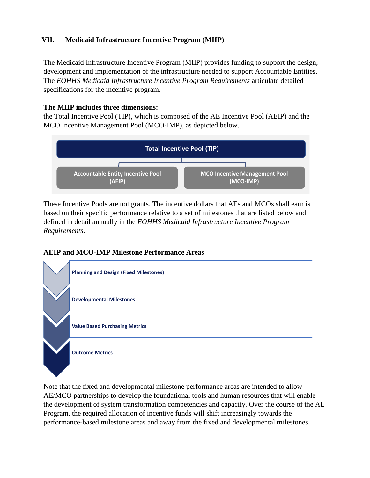## **VII. Medicaid Infrastructure Incentive Program (MIIP)**

The Medicaid Infrastructure Incentive Program (MIIP) provides funding to support the design, development and implementation of the infrastructure needed to support Accountable Entities. The *EOHHS Medicaid Infrastructure Incentive Program Requirements* articulate detailed specifications for the incentive program.

### **The MIIP includes three dimensions:**

the Total Incentive Pool (TIP), which is composed of the AE Incentive Pool (AEIP) and the MCO Incentive Management Pool (MCO-IMP), as depicted below.



These Incentive Pools are not grants. The incentive dollars that AEs and MCOs shall earn is based on their specific performance relative to a set of milestones that are listed below and defined in detail annually in the *EOHHS Medicaid Infrastructure Incentive Program Requirements*.

## **AEIP and MCO-IMP Milestone Performance Areas**



Note that the fixed and developmental milestone performance areas are intended to allow AE/MCO partnerships to develop the foundational tools and human resources that will enable the development of system transformation competencies and capacity. Over the course of the AE Program, the required allocation of incentive funds will shift increasingly towards the performance-based milestone areas and away from the fixed and developmental milestones.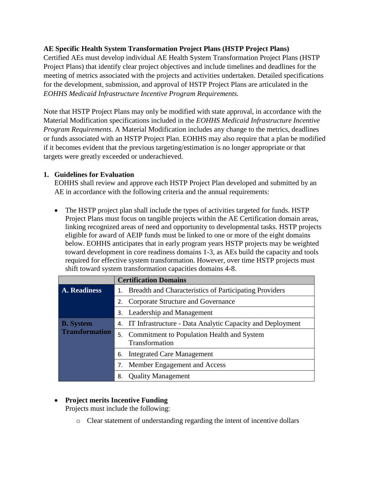## **AE Specific Health System Transformation Project Plans (HSTP Project Plans)**

Certified AEs must develop individual AE Health System Transformation Project Plans (HSTP Project Plans) that identify clear project objectives and include timelines and deadlines for the meeting of metrics associated with the projects and activities undertaken. Detailed specifications for the development, submission, and approval of HSTP Project Plans are articulated in the *EOHHS Medicaid Infrastructure Incentive Program Requirements.*

Note that HSTP Project Plans may only be modified with state approval, in accordance with the Material Modification specifications included in the *EOHHS Medicaid Infrastructure Incentive Program Requirements*. A Material Modification includes any change to the metrics, deadlines or funds associated with an HSTP Project Plan. EOHHS may also require that a plan be modified if it becomes evident that the previous targeting/estimation is no longer appropriate or that targets were greatly exceeded or underachieved.

#### **1. Guidelines for Evaluation**

EOHHS shall review and approve each HSTP Project Plan developed and submitted by an AE in accordance with the following criteria and the annual requirements:

• The HSTP project plan shall include the types of activities targeted for funds. HSTP Project Plans must focus on tangible projects within the AE Certification domain areas, linking recognized areas of need and opportunity to developmental tasks. HSTP projects eligible for award of AEIP funds must be linked to one or more of the eight domains below. EOHHS anticipates that in early program years HSTP projects may be weighted toward development in core readiness domains 1-3, as AEs build the capacity and tools required for effective system transformation. However, over time HSTP projects must shift toward system transformation capacities domains 4-8.

|                       | <b>Certification Domains</b>                                    |  |  |  |  |
|-----------------------|-----------------------------------------------------------------|--|--|--|--|
| A. Readiness          | Breadth and Characteristics of Participating Providers<br>1.    |  |  |  |  |
|                       | Corporate Structure and Governance<br>2.                        |  |  |  |  |
|                       | Leadership and Management<br>3.                                 |  |  |  |  |
| <b>B.</b> System      | 4. IT Infrastructure - Data Analytic Capacity and Deployment    |  |  |  |  |
| <b>Transformation</b> | 5. Commitment to Population Health and System<br>Transformation |  |  |  |  |
|                       | <b>Integrated Care Management</b><br>6.                         |  |  |  |  |
|                       | Member Engagement and Access<br>7.                              |  |  |  |  |
|                       | <b>Quality Management</b><br>8.                                 |  |  |  |  |

## • **Project merits Incentive Funding**

Projects must include the following:

o Clear statement of understanding regarding the intent of incentive dollars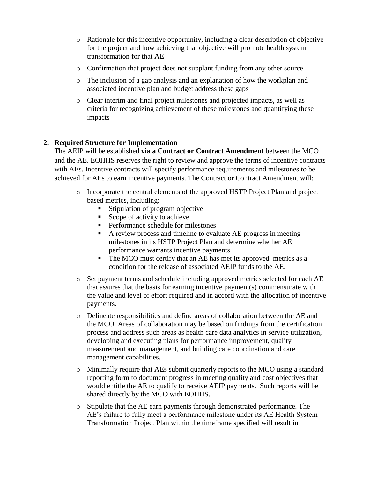- o Rationale for this incentive opportunity, including a clear description of objective for the project and how achieving that objective will promote health system transformation for that AE
- $\circ$  Confirmation that project does not supplant funding from any other source
- o The inclusion of a gap analysis and an explanation of how the workplan and associated incentive plan and budget address these gaps
- o Clear interim and final project milestones and projected impacts, as well as criteria for recognizing achievement of these milestones and quantifying these impacts

## **2. Required Structure for Implementation**

The AEIP will be established **via a Contract or Contract Amendment** between the MCO and the AE. EOHHS reserves the right to review and approve the terms of incentive contracts with AEs. Incentive contracts will specify performance requirements and milestones to be achieved for AEs to earn incentive payments. The Contract or Contract Amendment will:

- o Incorporate the central elements of the approved HSTP Project Plan and project based metrics, including:
	- Stipulation of program objective
	- Scope of activity to achieve
	- Performance schedule for milestones
	- A review process and timeline to evaluate AE progress in meeting milestones in its HSTP Project Plan and determine whether AE performance warrants incentive payments.
	- The MCO must certify that an AE has met its approved metrics as a condition for the release of associated AEIP funds to the AE.
- o Set payment terms and schedule including approved metrics selected for each AE that assures that the basis for earning incentive payment(s) commensurate with the value and level of effort required and in accord with the allocation of incentive payments.
- o Delineate responsibilities and define areas of collaboration between the AE and the MCO. Areas of collaboration may be based on findings from the certification process and address such areas as health care data analytics in service utilization, developing and executing plans for performance improvement, quality measurement and management, and building care coordination and care management capabilities.
- o Minimally require that AEs submit quarterly reports to the MCO using a standard reporting form to document progress in meeting quality and cost objectives that would entitle the AE to qualify to receive AEIP payments. Such reports will be shared directly by the MCO with EOHHS.
- o Stipulate that the AE earn payments through demonstrated performance. The AE's failure to fully meet a performance milestone under its AE Health System Transformation Project Plan within the timeframe specified will result in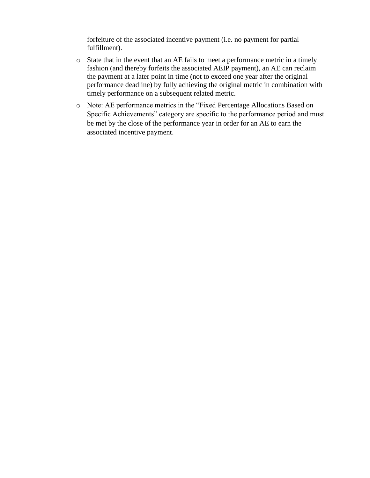forfeiture of the associated incentive payment (i.e. no payment for partial fulfillment).

- o State that in the event that an AE fails to meet a performance metric in a timely fashion (and thereby forfeits the associated AEIP payment), an AE can reclaim the payment at a later point in time (not to exceed one year after the original performance deadline) by fully achieving the original metric in combination with timely performance on a subsequent related metric.
- o Note: AE performance metrics in the "Fixed Percentage Allocations Based on Specific Achievements" category are specific to the performance period and must be met by the close of the performance year in order for an AE to earn the associated incentive payment.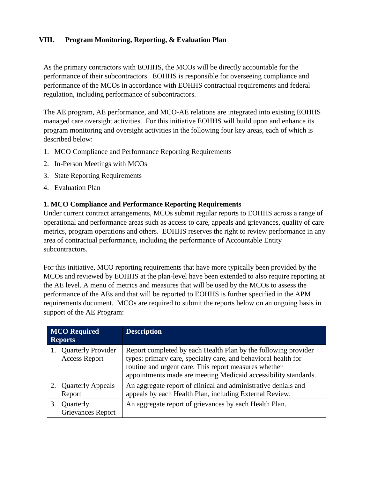## **VIII. Program Monitoring, Reporting, & Evaluation Plan**

As the primary contractors with EOHHS, the MCOs will be directly accountable for the performance of their subcontractors. EOHHS is responsible for overseeing compliance and performance of the MCOs in accordance with EOHHS contractual requirements and federal regulation, including performance of subcontractors.

The AE program, AE performance, and MCO-AE relations are integrated into existing EOHHS managed care oversight activities. For this initiative EOHHS will build upon and enhance its program monitoring and oversight activities in the following four key areas, each of which is described below:

- 1. MCO Compliance and Performance Reporting Requirements
- 2. In-Person Meetings with MCOs
- 3. State Reporting Requirements
- 4. Evaluation Plan

#### **1. MCO Compliance and Performance Reporting Requirements**

Under current contract arrangements, MCOs submit regular reports to EOHHS across a range of operational and performance areas such as access to care, appeals and grievances, quality of care metrics, program operations and others. EOHHS reserves the right to review performance in any area of contractual performance, including the performance of Accountable Entity subcontractors.

For this initiative, MCO reporting requirements that have more typically been provided by the MCOs and reviewed by EOHHS at the plan-level have been extended to also require reporting at the AE level. A menu of metrics and measures that will be used by the MCOs to assess the performance of the AEs and that will be reported to EOHHS is further specified in the APM requirements document. MCOs are required to submit the reports below on an ongoing basis in support of the AE Program:

| <b>MCO</b> Required<br><b>Reports</b>             | <b>Description</b>                                                                                                                                                                                                                                           |  |  |  |  |
|---------------------------------------------------|--------------------------------------------------------------------------------------------------------------------------------------------------------------------------------------------------------------------------------------------------------------|--|--|--|--|
| <b>Quarterly Provider</b><br><b>Access Report</b> | Report completed by each Health Plan by the following provider<br>types: primary care, specialty care, and behavioral health for<br>routine and urgent care. This report measures whether<br>appointments made are meeting Medicaid accessibility standards. |  |  |  |  |
| <b>Quarterly Appeals</b><br>Report                | An aggregate report of clinical and administrative denials and<br>appeals by each Health Plan, including External Review.                                                                                                                                    |  |  |  |  |
| Quarterly<br>3.<br><b>Grievances Report</b>       | An aggregate report of grievances by each Health Plan.                                                                                                                                                                                                       |  |  |  |  |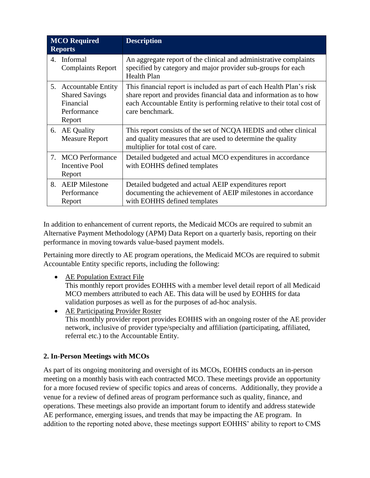| <b>MCO</b> Required<br><b>Reports</b> |                                                                                          | <b>Description</b>                                                                                                                                                                                                                     |
|---------------------------------------|------------------------------------------------------------------------------------------|----------------------------------------------------------------------------------------------------------------------------------------------------------------------------------------------------------------------------------------|
| 4.                                    | Informal<br><b>Complaints Report</b>                                                     | An aggregate report of the clinical and administrative complaints<br>specified by category and major provider sub-groups for each<br><b>Health Plan</b>                                                                                |
| 5.                                    | <b>Accountable Entity</b><br><b>Shared Savings</b><br>Financial<br>Performance<br>Report | This financial report is included as part of each Health Plan's risk<br>share report and provides financial data and information as to how<br>each Accountable Entity is performing relative to their total cost of<br>care benchmark. |
|                                       | 6. AE Quality<br><b>Measure Report</b>                                                   | This report consists of the set of NCQA HEDIS and other clinical<br>and quality measures that are used to determine the quality<br>multiplier for total cost of care.                                                                  |
|                                       | 7. MCO Performance<br>Incentive Pool<br>Report                                           | Detailed budgeted and actual MCO expenditures in accordance<br>with EOHHS defined templates                                                                                                                                            |
| 8.                                    | <b>AEIP</b> Milestone<br>Performance<br>Report                                           | Detailed budgeted and actual AEIP expenditures report<br>documenting the achievement of AEIP milestones in accordance<br>with EOHHS defined templates                                                                                  |

In addition to enhancement of current reports, the Medicaid MCOs are required to submit an Alternative Payment Methodology (APM) Data Report on a quarterly basis, reporting on their performance in moving towards value-based payment models.

Pertaining more directly to AE program operations, the Medicaid MCOs are required to submit Accountable Entity specific reports, including the following:

• AE Population Extract File

This monthly report provides EOHHS with a member level detail report of all Medicaid MCO members attributed to each AE. This data will be used by EOHHS for data validation purposes as well as for the purposes of ad-hoc analysis.

• AE Participating Provider Roster This monthly provider report provides EOHHS with an ongoing roster of the AE provider network, inclusive of provider type/specialty and affiliation (participating, affiliated, referral etc.) to the Accountable Entity.

#### **2. In-Person Meetings with MCOs**

As part of its ongoing monitoring and oversight of its MCOs, EOHHS conducts an in-person meeting on a monthly basis with each contracted MCO. These meetings provide an opportunity for a more focused review of specific topics and areas of concerns. Additionally, they provide a venue for a review of defined areas of program performance such as quality, finance, and operations. These meetings also provide an important forum to identify and address statewide AE performance, emerging issues, and trends that may be impacting the AE program. In addition to the reporting noted above, these meetings support EOHHS' ability to report to CMS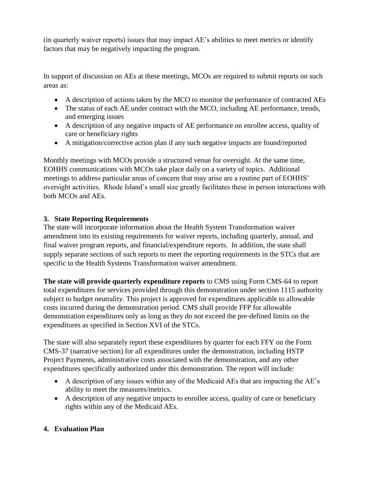(in quarterly waiver reports) issues that may impact AE's abilities to meet metrics or identify factors that may be negatively impacting the program.

In support of discussion on AEs at these meetings, MCOs are required to submit reports on such areas as:

- A description of actions taken by the MCO to monitor the performance of contracted AEs
- The status of each AE under contract with the MCO, including AE performance, trends, and emerging issues
- A description of any negative impacts of AE performance on enrollee access, quality of care or beneficiary rights
- A mitigation/corrective action plan if any such negative impacts are found/reported

Monthly meetings with MCOs provide a structured venue for oversight. At the same time, EOHHS communications with MCOs take place daily on a variety of topics. Additional meetings to address particular areas of concern that may arise are a routine part of EOHHS' oversight activities. Rhode Island's small size greatly facilitates these in person interactions with both MCOs and AEs.

## **3. State Reporting Requirements**

The state will incorporate information about the Health System Transformation waiver amendment into its existing requirements for waiver reports, including quarterly, annual, and final waiver program reports, and financial/expenditure reports. In addition, the state shall supply separate sections of such reports to meet the reporting requirements in the STCs that are specific to the Health Systems Transformation waiver amendment.

**The state will provide quarterly expenditure reports** to CMS using Form CMS-64 to report total expenditures for services provided through this demonstration under section 1115 authority subject to budget neutrality. This project is approved for expenditures applicable to allowable costs incurred during the demonstration period. CMS shall provide FFP for allowable demonstration expenditures only as long as they do not exceed the pre-defined limits on the expenditures as specified in Section XVI of the STCs.

The state will also separately report these expenditures by quarter for each FFY on the Form CMS-37 (narrative section) for all expenditures under the demonstration, including HSTP Project Payments, administrative costs associated with the demonstration, and any other expenditures specifically authorized under this demonstration. The report will include:

- A description of any issues within any of the Medicaid AEs that are impacting the AE's ability to meet the measures/metrics.
- A description of any negative impacts to enrollee access, quality of care or beneficiary rights within any of the Medicaid AEs.

## **4. Evaluation Plan**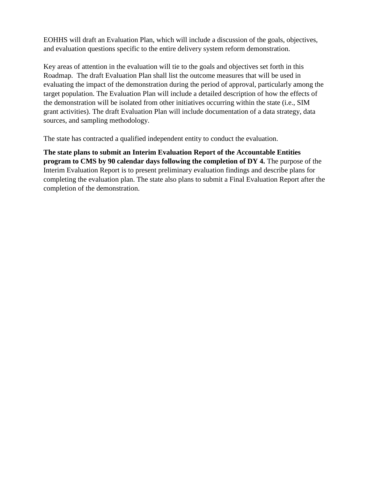EOHHS will draft an Evaluation Plan, which will include a discussion of the goals, objectives, and evaluation questions specific to the entire delivery system reform demonstration.

Key areas of attention in the evaluation will tie to the goals and objectives set forth in this Roadmap. The draft Evaluation Plan shall list the outcome measures that will be used in evaluating the impact of the demonstration during the period of approval, particularly among the target population. The Evaluation Plan will include a detailed description of how the effects of the demonstration will be isolated from other initiatives occurring within the state (i.e., SIM grant activities). The draft Evaluation Plan will include documentation of a data strategy, data sources, and sampling methodology.

The state has contracted a qualified independent entity to conduct the evaluation.

**The state plans to submit an Interim Evaluation Report of the Accountable Entities program to CMS by 90 calendar days following the completion of DY 4.** The purpose of the Interim Evaluation Report is to present preliminary evaluation findings and describe plans for completing the evaluation plan. The state also plans to submit a Final Evaluation Report after the completion of the demonstration.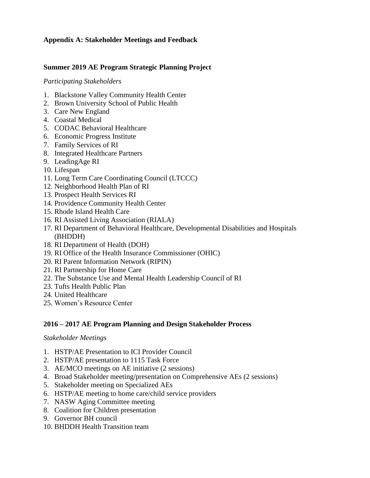### **Appendix A: Stakeholder Meetings and Feedback**

#### **Summer 2019 AE Program Strategic Planning Project**

#### *Participating Stakeholders*

- 1. Blackstone Valley Community Health Center
- 2. Brown University School of Public Health
- 3. Care New England
- 4. Coastal Medical
- 5. CODAC Behavioral Healthcare
- 6. Economic Progress Institute
- 7. Family Services of RI
- 8. Integrated Healthcare Partners
- 9. LeadingAge RI
- 10. Lifespan
- 11. Long Term Care Coordinating Council (LTCCC)
- 12. Neighborhood Health Plan of RI
- 13. Prospect Health Services RI
- 14. Providence Community Health Center
- 15. Rhode Island Health Care
- 16. RI Assisted Living Association (RIALA)
- 17. RI Department of Behavioral Healthcare, Developmental Disabilities and Hospitals (BHDDH)
- 18. RI Department of Health (DOH)
- 19. RI Office of the Health Insurance Commissioner (OHIC)
- 20. RI Parent Information Network (RIPIN)
- 21. RI Partnership for Home Care
- 22. The Substance Use and Mental Health Leadership Council of RI
- 23. Tufts Health Public Plan
- 24. United Healthcare
- 25. Women's Resource Center

#### **2016 – 2017 AE Program Planning and Design Stakeholder Process**

#### *Stakeholder Meetings*

- 1. HSTP/AE Presentation to ICI Provider Council
- 2. HSTP/AE presentation to 1115 Task Force
- 3. AE/MCO meetings on AE initiative (2 sessions)
- 4. Broad Stakeholder meeting/presentation on Comprehensive AEs (2 sessions)
- 5. Stakeholder meeting on Specialized AEs
- 6. HSTP/AE meeting to home care/child service providers
- 7. NASW Aging Committee meeting
- 8. Coalition for Children presentation
- 9. Governor BH council
- 10. BHDDH Health Transition team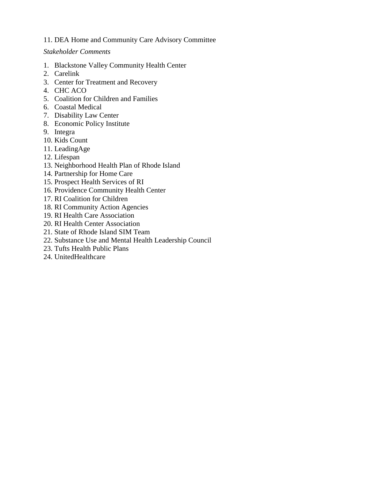#### 11. DEA Home and Community Care Advisory Committee

#### *Stakeholder Comments*

- 1. Blackstone Valley Community Health Center
- 2. Carelink
- 3. Center for Treatment and Recovery
- 4. CHC ACO
- 5. Coalition for Children and Families
- 6. Coastal Medical
- 7. Disability Law Center
- 8. Economic Policy Institute
- 9. Integra
- 10. Kids Count
- 11. LeadingAge
- 12. Lifespan
- 13. Neighborhood Health Plan of Rhode Island
- 14. Partnership for Home Care
- 15. Prospect Health Services of RI
- 16. Providence Community Health Center
- 17. RI Coalition for Children
- 18. RI Community Action Agencies
- 19. RI Health Care Association
- 20. RI Health Center Association
- 21. State of Rhode Island SIM Team
- 22. Substance Use and Mental Health Leadership Council
- 23. Tufts Health Public Plans
- 24. UnitedHealthcare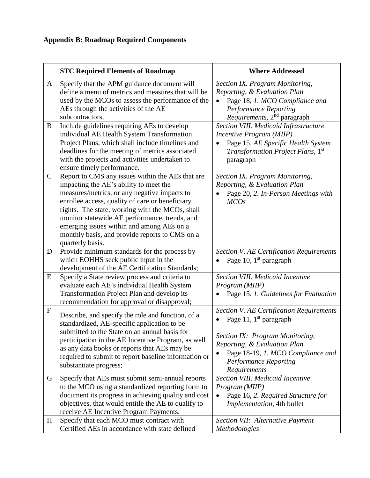# **Appendix B: Roadmap Required Components**

|              | <b>STC Required Elements of Roadmap</b>                                                                                                                                                                                                                                                                                                                                                                              | <b>Where Addressed</b>                                                                                                                                                                                                              |
|--------------|----------------------------------------------------------------------------------------------------------------------------------------------------------------------------------------------------------------------------------------------------------------------------------------------------------------------------------------------------------------------------------------------------------------------|-------------------------------------------------------------------------------------------------------------------------------------------------------------------------------------------------------------------------------------|
| A            | Specify that the APM guidance document will<br>define a menu of metrics and measures that will be<br>used by the MCOs to assess the performance of the<br>AEs through the activities of the AE<br>subcontractors.                                                                                                                                                                                                    | Section IX. Program Monitoring,<br>Reporting, & Evaluation Plan<br>Page 18, 1. MCO Compliance and<br>$\bullet$<br><b>Performance Reporting</b><br>Requirements, 2 <sup>nd</sup> paragraph                                           |
| B            | Include guidelines requiring AEs to develop<br>individual AE Health System Transformation<br>Project Plans, which shall include timelines and<br>deadlines for the meeting of metrics associated<br>with the projects and activities undertaken to<br>ensure timely performance.                                                                                                                                     | Section VIII. Medicaid Infrastructure<br>Incentive Program (MIIP)<br>Page 15, AE Specific Health System<br>$\bullet$<br><i>Transformation Project Plans,</i> 1st<br>paragraph                                                       |
| $\mathsf{C}$ | Report to CMS any issues within the AEs that are<br>impacting the AE's ability to meet the<br>measures/metrics, or any negative impacts to<br>enrollee access, quality of care or beneficiary<br>rights. The state, working with the MCOs, shall<br>monitor statewide AE performance, trends, and<br>emerging issues within and among AEs on a<br>monthly basis, and provide reports to CMS on a<br>quarterly basis. | Section IX. Program Monitoring,<br>Reporting, & Evaluation Plan<br>Page 20, 2. In-Person Meetings with<br>MCOs                                                                                                                      |
| D            | Provide minimum standards for the process by<br>which EOHHS seek public input in the<br>development of the AE Certification Standards;                                                                                                                                                                                                                                                                               | <b>Section V. AE Certification Requirements</b><br>Page 10, 1 <sup>st</sup> paragraph                                                                                                                                               |
| E            | Specify a State review process and criteria to<br>evaluate each AE's individual Health System<br>Transformation Project Plan and develop its<br>recommendation for approval or disapproval;                                                                                                                                                                                                                          | Section VIII. Medicaid Incentive<br>Program (MIIP)<br>Page 15, 1. Guidelines for Evaluation                                                                                                                                         |
| $\mathbf F$  | Describe, and specify the role and function, of a<br>standardized, AE-specific application to be<br>submitted to the State on an annual basis for<br>participation in the AE Incentive Program, as well<br>as any data books or reports that AEs may be<br>required to submit to report baseline information or<br>substantiate progress;                                                                            | <b>Section V. AE Certification Requirements</b><br>Page 11, $1st$ paragraph<br>Section IX: Program Monitoring,<br>Reporting, & Evaluation Plan<br>Page 18-19, 1. MCO Compliance and<br><b>Performance Reporting</b><br>Requirements |
| G            | Specify that AEs must submit semi-annual reports<br>to the MCO using a standardized reporting form to<br>document its progress in achieving quality and cost<br>objectives, that would entitle the AE to qualify to<br>receive AE Incentive Program Payments.                                                                                                                                                        | Section VIII. Medicaid Incentive<br>Program (MIIP)<br>Page 16, 2. Required Structure for<br>Implementation, 4th bullet                                                                                                              |
| H            | Specify that each MCO must contract with<br>Certified AEs in accordance with state defined                                                                                                                                                                                                                                                                                                                           | Section VII: Alternative Payment<br>Methodologies                                                                                                                                                                                   |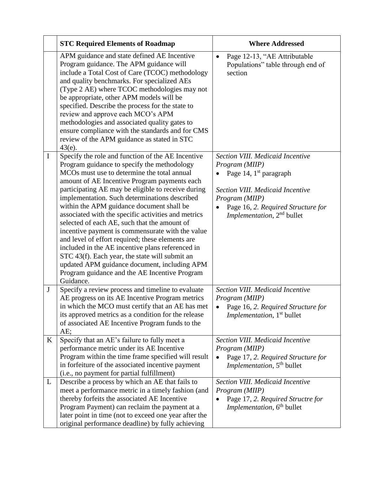|   | <b>STC Required Elements of Roadmap</b>                                                                                                                                                                                                                                                                                                                                                                                                                                                                                                                                                                                                                                                                                                                                                            | <b>Where Addressed</b>                                                                                                                                                                                                         |
|---|----------------------------------------------------------------------------------------------------------------------------------------------------------------------------------------------------------------------------------------------------------------------------------------------------------------------------------------------------------------------------------------------------------------------------------------------------------------------------------------------------------------------------------------------------------------------------------------------------------------------------------------------------------------------------------------------------------------------------------------------------------------------------------------------------|--------------------------------------------------------------------------------------------------------------------------------------------------------------------------------------------------------------------------------|
|   | APM guidance and state defined AE Incentive<br>Program guidance. The APM guidance will<br>include a Total Cost of Care (TCOC) methodology<br>and quality benchmarks. For specialized AEs<br>(Type 2 AE) where TCOC methodologies may not<br>be appropriate, other APM models will be<br>specified. Describe the process for the state to<br>review and approve each MCO's APM<br>methodologies and associated quality gates to<br>ensure compliance with the standards and for CMS<br>review of the APM guidance as stated in STC<br>$43(e)$ .                                                                                                                                                                                                                                                     | Page 12-13, "AE Attributable<br>$\bullet$<br>Populations" table through end of<br>section                                                                                                                                      |
| I | Specify the role and function of the AE Incentive<br>Program guidance to specify the methodology<br>MCO <sub>s</sub> must use to determine the total annual<br>amount of AE Incentive Program payments each<br>participating AE may be eligible to receive during<br>implementation. Such determinations described<br>within the APM guidance document shall be<br>associated with the specific activities and metrics<br>selected of each AE, such that the amount of<br>incentive payment is commensurate with the value<br>and level of effort required; these elements are<br>included in the AE incentive plans referenced in<br>STC 43(f). Each year, the state will submit an<br>updated APM guidance document, including APM<br>Program guidance and the AE Incentive Program<br>Guidance. | Section VIII. Medicaid Incentive<br>Program (MIIP)<br>Page 14, 1 <sup>st</sup> paragraph<br>Section VIII. Medicaid Incentive<br>Program (MIIP)<br>Page 16, 2. Required Structure for<br>Implementation, 2 <sup>nd</sup> bullet |
| J | Specify a review process and timeline to evaluate<br>AE progress on its AE Incentive Program metrics<br>in which the MCO must certify that an AE has met<br>its approved metrics as a condition for the release<br>of associated AE Incentive Program funds to the<br>AE;                                                                                                                                                                                                                                                                                                                                                                                                                                                                                                                          | Section VIII. Medicaid Incentive<br>Program (MIIP)<br>Page 16, 2. Required Structure for<br><i>Implementation</i> , 1 <sup>st</sup> bullet                                                                                     |
| K | Specify that an AE's failure to fully meet a<br>performance metric under its AE Incentive<br>Program within the time frame specified will result<br>in forfeiture of the associated incentive payment<br>(i.e., no payment for partial fulfillment)                                                                                                                                                                                                                                                                                                                                                                                                                                                                                                                                                | Section VIII. Medicaid Incentive<br>Program (MIIP)<br>Page 17, 2. Required Structure for<br><i>Implementation</i> , 5 <sup>th</sup> bullet                                                                                     |
| L | Describe a process by which an AE that fails to<br>meet a performance metric in a timely fashion (and<br>thereby forfeits the associated AE Incentive<br>Program Payment) can reclaim the payment at a<br>later point in time (not to exceed one year after the<br>original performance deadline) by fully achieving                                                                                                                                                                                                                                                                                                                                                                                                                                                                               | Section VIII. Medicaid Incentive<br>Program (MIIP)<br>Page 17, 2. Required Structre for<br>Implementation, 6 <sup>th</sup> bullet                                                                                              |